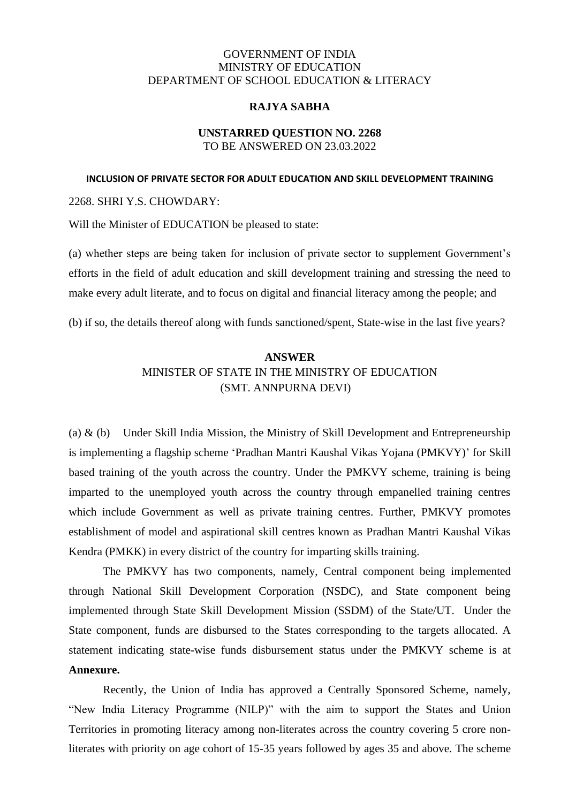## GOVERNMENT OF INDIA MINISTRY OF EDUCATION DEPARTMENT OF SCHOOL EDUCATION & LITERACY

### **RAJYA SABHA**

### **UNSTARRED QUESTION NO. 2268** TO BE ANSWERED ON 23.03.2022

#### **INCLUSION OF PRIVATE SECTOR FOR ADULT EDUCATION AND SKILL DEVELOPMENT TRAINING**

2268. SHRI Y.S. CHOWDARY:

Will the Minister of EDUCATION be pleased to state:

(a) whether steps are being taken for inclusion of private sector to supplement Government's efforts in the field of adult education and skill development training and stressing the need to make every adult literate, and to focus on digital and financial literacy among the people; and

(b) if so, the details thereof along with funds sanctioned/spent, State-wise in the last five years?

# **ANSWER** MINISTER OF STATE IN THE MINISTRY OF EDUCATION (SMT. ANNPURNA DEVI)

(a)  $\&$  (b) Under Skill India Mission, the Ministry of Skill Development and Entrepreneurship is implementing a flagship scheme 'Pradhan Mantri Kaushal Vikas Yojana (PMKVY)' for Skill based training of the youth across the country. Under the PMKVY scheme, training is being imparted to the unemployed youth across the country through empanelled training centres which include Government as well as private training centres. Further, PMKVY promotes establishment of model and aspirational skill centres known as Pradhan Mantri Kaushal Vikas Kendra (PMKK) in every district of the country for imparting skills training.

The PMKVY has two components, namely, Central component being implemented through National Skill Development Corporation (NSDC), and State component being implemented through State Skill Development Mission (SSDM) of the State/UT. Under the State component, funds are disbursed to the States corresponding to the targets allocated. A statement indicating state-wise funds disbursement status under the PMKVY scheme is at **Annexure.**

Recently, the Union of India has approved a Centrally Sponsored Scheme, namely, "New India Literacy Programme (NILP)" with the aim to support the States and Union Territories in promoting literacy among non-literates across the country covering 5 crore nonliterates with priority on age cohort of 15-35 years followed by ages 35 and above. The scheme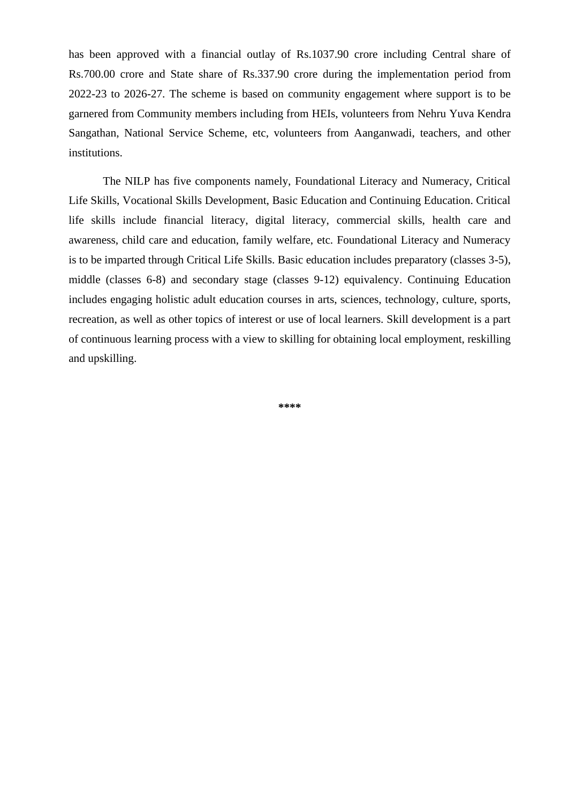has been approved with a financial outlay of Rs.1037.90 crore including Central share of Rs.700.00 crore and State share of Rs.337.90 crore during the implementation period from 2022-23 to 2026-27. The scheme is based on community engagement where support is to be garnered from Community members including from HEIs, volunteers from Nehru Yuva Kendra Sangathan, National Service Scheme, etc, volunteers from Aanganwadi, teachers, and other institutions.

The NILP has five components namely, Foundational Literacy and Numeracy, Critical Life Skills, Vocational Skills Development, Basic Education and Continuing Education. Critical life skills include financial literacy, digital literacy, commercial skills, health care and awareness, child care and education, family welfare, etc. Foundational Literacy and Numeracy is to be imparted through Critical Life Skills. Basic education includes preparatory (classes 3-5), middle (classes 6-8) and secondary stage (classes 9-12) equivalency. Continuing Education includes engaging holistic adult education courses in arts, sciences, technology, culture, sports, recreation, as well as other topics of interest or use of local learners. Skill development is a part of continuous learning process with a view to skilling for obtaining local employment, reskilling and upskilling.

**\*\*\*\***